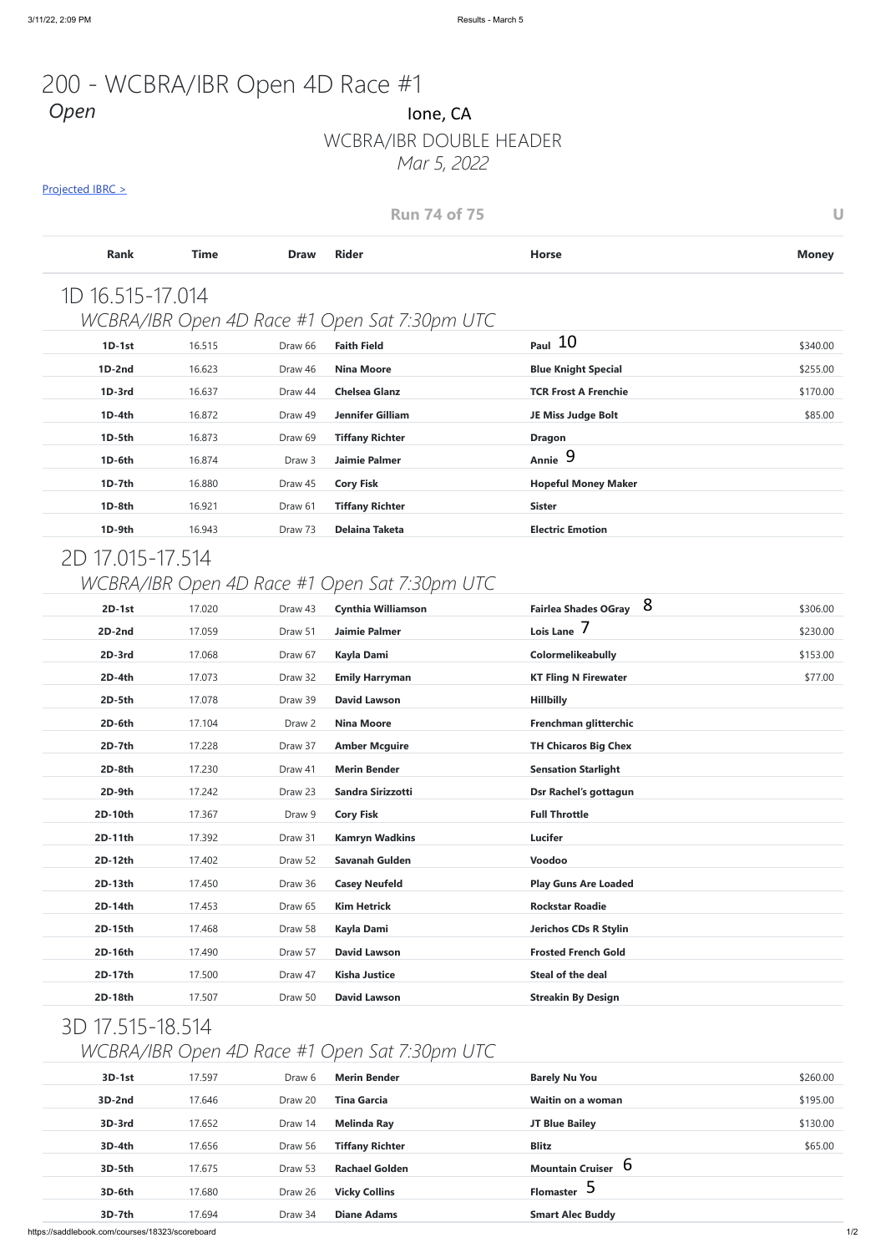https://saddlebook.com/courses/18323/scoreboard 1/2

# WCBRA/IBR DOUBLE HEADER

*Mar 5, 2022*

#### Projected IBRC >

### 200 - WCBRA/IBR Open 4D Race #1 *Open* Ione, CA

| <b>Run 74 of 75</b> |             |                   |                                               |                                  |              |
|---------------------|-------------|-------------------|-----------------------------------------------|----------------------------------|--------------|
| <b>Rank</b>         | <b>Time</b> | <b>Draw</b>       | <b>Rider</b>                                  | <b>Horse</b>                     | <b>Money</b> |
| 1D 16.515-17.014    |             |                   |                                               |                                  |              |
|                     |             |                   | WCBRA/IBR Open 4D Race #1 Open Sat 7:30pm UTC |                                  |              |
| $1D-1st$            | 16.515      | Draw 66           | <b>Faith Field</b>                            | $_{Paul}$ 10                     | \$340.00     |
| $1D-2nd$            | 16.623      | Draw 46           | <b>Nina Moore</b>                             | <b>Blue Knight Special</b>       | \$255.00     |
| 1D-3rd              | 16.637      | Draw 44           | <b>Chelsea Glanz</b>                          | <b>TCR Frost A Frenchie</b>      | \$170.00     |
| $1D-4th$            | 16.872      | Draw 49           | <b>Jennifer Gilliam</b>                       | JE Miss Judge Bolt               | \$85.00      |
| 1D-5th              | 16.873      | Draw 69           | <b>Tiffany Richter</b>                        | <b>Dragon</b>                    |              |
| 1D-6th              | 16.874      | Draw <sub>3</sub> | <b>Jaimie Palmer</b>                          | Annie 9                          |              |
| 1D-7th              | 16.880      | Draw 45           | <b>Cory Fisk</b>                              | <b>Hopeful Money Maker</b>       |              |
| 1D-8th              | 16.921      | Draw 61           | <b>Tiffany Richter</b>                        | <b>Sister</b>                    |              |
| 1D-9th              | 16.943      | Draw 73           | <b>Delaina Taketa</b>                         | <b>Electric Emotion</b>          |              |
| 2D 17.015-17.514    |             |                   |                                               |                                  |              |
|                     |             |                   | WCBRA/IBR Open 4D Race #1 Open Sat 7:30pm UTC |                                  |              |
| $2D-1st$            | 17.020      | Draw 43           | <b>Cynthia Williamson</b>                     | 8<br><b>Fairlea Shades OGray</b> | \$306.00     |

| $2D-1st$         | 17.020 | Draw 43 | <b>Cynthia Williamson</b>                     | Fairlea Shades OGray O       | \$306.00 |
|------------------|--------|---------|-----------------------------------------------|------------------------------|----------|
| 2D-2nd           | 17.059 | Draw 51 | <b>Jaimie Palmer</b>                          | Lois Lane 7                  | \$230.00 |
| 2D-3rd           | 17.068 | Draw 67 | <b>Kayla Dami</b>                             | Colormelikeabully            | \$153.00 |
| 2D-4th           | 17.073 | Draw 32 | <b>Emily Harryman</b>                         | <b>KT Fling N Firewater</b>  | \$77.00  |
| 2D-5th           | 17.078 | Draw 39 | <b>David Lawson</b>                           | <b>Hillbilly</b>             |          |
| 2D-6th           | 17.104 | Draw 2  | <b>Nina Moore</b>                             | Frenchman glitterchic        |          |
| 2D-7th           | 17.228 | Draw 37 | <b>Amber Mcguire</b>                          | <b>TH Chicaros Big Chex</b>  |          |
| 2D-8th           | 17.230 | Draw 41 | <b>Merin Bender</b>                           | <b>Sensation Starlight</b>   |          |
| 2D-9th           | 17.242 | Draw 23 | Sandra Sirizzotti                             | Dsr Rachel's gottagun        |          |
| 2D-10th          | 17.367 | Draw 9  | <b>Cory Fisk</b>                              | <b>Full Throttle</b>         |          |
| 2D-11th          | 17.392 | Draw 31 | <b>Kamryn Wadkins</b>                         | <b>Lucifer</b>               |          |
| 2D-12th          | 17.402 | Draw 52 | <b>Savanah Gulden</b>                         | Voodoo                       |          |
| 2D-13th          | 17.450 | Draw 36 | <b>Casey Neufeld</b>                          | <b>Play Guns Are Loaded</b>  |          |
| 2D-14th          | 17.453 | Draw 65 | <b>Kim Hetrick</b>                            | <b>Rockstar Roadie</b>       |          |
| 2D-15th          | 17.468 | Draw 58 | <b>Kayla Dami</b>                             | <b>Jerichos CDs R Stylin</b> |          |
| 2D-16th          | 17.490 | Draw 57 | <b>David Lawson</b>                           | <b>Frosted French Gold</b>   |          |
| 2D-17th          | 17.500 | Draw 47 | <b>Kisha Justice</b>                          | <b>Steal of the deal</b>     |          |
| 2D-18th          | 17.507 | Draw 50 | <b>David Lawson</b>                           | <b>Streakin By Design</b>    |          |
| 3D 17.515-18.514 |        |         |                                               |                              |          |
|                  |        |         | WCBRA/IBR Open 4D Race #1 Open Sat 7:30pm UTC |                              |          |
|                  |        |         |                                               |                              |          |
| 3D-1st           | 17.597 |         | Draw 6 Merin Bender                           | <b>Barely Nu You</b>         | \$260.00 |
| <b>3D-2nd</b>    | 17.646 | Draw 20 | <b>Tina Garcia</b>                            | Waitin on a woman            | \$195.00 |
| 3D-3rd           | 17.652 | Draw 14 | <b>Melinda Ray</b>                            | JT Blue Bailey               | \$130.00 |
| 3D-4th           | 17.656 | Draw 56 | <b>Tiffany Richter</b>                        | <b>Blitz</b>                 | \$65.00  |
| 3D-5th           | 17.675 | Draw 53 | <b>Rachael Golden</b>                         | Mountain Cruiser $6$         |          |
| 3D-6th           | 17.680 | Draw 26 | <b>Vicky Collins</b>                          | Flomaster 5                  |          |
| 3D-7th           | 17.694 | Draw 34 | <b>Diane Adams</b>                            | <b>Smart Alec Buddy</b>      |          |
|                  |        |         |                                               |                              |          |